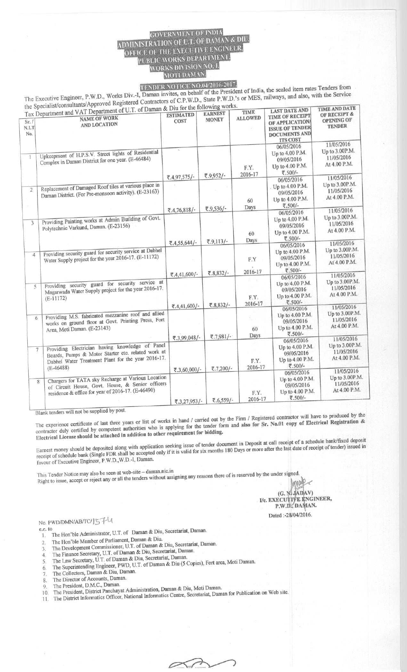## **MENT OF INDIA ADMINISTRATION OF U.T. OF DAMAN & DIU. OFFICE OF THE ENECUTIVE ENGINEER.**<br>PUBLIC WORKS DEPARTMENT.<br>WORKS DIVISION NO. 1.

e sealed item rates Executive Engineer,  $F.W.D.,$  Works Dividender Contractors of C.P.W.D., S The Executive Engineer, P.W.D., Works Div.-I, Daman invites, on behalf of the President of India, the sealed item rates Tenders Home the Specialist/consultants/Approved Regi

|                                                                                                                              |                                                                                                                                                                                                                                                                                |                                                                                                                                                                                                                                                                                                                                                                                                     | <b>TIME</b>                                                                         | <b>LAST DATE AND</b>                                                                                                                                                                   | TIME AND DATE<br>OF RECEIPT &                                                                                                                                               |
|------------------------------------------------------------------------------------------------------------------------------|--------------------------------------------------------------------------------------------------------------------------------------------------------------------------------------------------------------------------------------------------------------------------------|-----------------------------------------------------------------------------------------------------------------------------------------------------------------------------------------------------------------------------------------------------------------------------------------------------------------------------------------------------------------------------------------------------|-------------------------------------------------------------------------------------|----------------------------------------------------------------------------------------------------------------------------------------------------------------------------------------|-----------------------------------------------------------------------------------------------------------------------------------------------------------------------------|
| Sr.1<br>AND LOCATION<br>N.I.T<br>No.                                                                                         | <b>COST</b>                                                                                                                                                                                                                                                                    | <b>MONEY</b>                                                                                                                                                                                                                                                                                                                                                                                        |                                                                                     | OF APPLICATION<br><b>ISSUE OF TENDER</b><br><b>DOCUMENTS AND</b>                                                                                                                       | OPENING OF<br><b>TENDER</b>                                                                                                                                                 |
|                                                                                                                              |                                                                                                                                                                                                                                                                                |                                                                                                                                                                                                                                                                                                                                                                                                     |                                                                                     | 06/05/2016                                                                                                                                                                             | 11/05/2016<br>Up to 3.00P.M.                                                                                                                                                |
| $\mathbf{1}$<br>Complex in Daman District for one year. (E-46484)                                                            |                                                                                                                                                                                                                                                                                |                                                                                                                                                                                                                                                                                                                                                                                                     | F.Y.                                                                                | 09/05/2016<br>Up to 4.00 P.M.<br>₹.500/-                                                                                                                                               | 11/05/2016<br>At 4.00 P.M.                                                                                                                                                  |
|                                                                                                                              |                                                                                                                                                                                                                                                                                |                                                                                                                                                                                                                                                                                                                                                                                                     |                                                                                     | 06/05/2016                                                                                                                                                                             | 11/05/2016<br>Up to 3.00P.M.                                                                                                                                                |
| $\mathfrak{D}$<br>Daman District. (For Pre-monsoon activity). (E-23163)                                                      |                                                                                                                                                                                                                                                                                |                                                                                                                                                                                                                                                                                                                                                                                                     | 60                                                                                  | 09/05/2016<br>Up to 4.00 P.M.                                                                                                                                                          | 11/05/2016<br>At 4.00 P.M.                                                                                                                                                  |
|                                                                                                                              | ₹.4,76,818/-                                                                                                                                                                                                                                                                   | ₹.9,536/-                                                                                                                                                                                                                                                                                                                                                                                           | Days                                                                                |                                                                                                                                                                                        | 11/05/2016                                                                                                                                                                  |
| 3<br>Polytechnic Varkund, Daman. (E-23156)                                                                                   |                                                                                                                                                                                                                                                                                |                                                                                                                                                                                                                                                                                                                                                                                                     | 60                                                                                  | Up to 4.00 P.M.<br>09/05/2016<br>Up to 4.00 P.M.                                                                                                                                       | Up to 3.00P.M.<br>11/05/2016<br>At 4.00 P.M.                                                                                                                                |
|                                                                                                                              | ₹.4,55,644/-                                                                                                                                                                                                                                                                   |                                                                                                                                                                                                                                                                                                                                                                                                     |                                                                                     | 06/05/2016                                                                                                                                                                             | 11/05/2016                                                                                                                                                                  |
| $\overline{4}$<br>Water Supply project for the year 2016-17. (E-11172)                                                       |                                                                                                                                                                                                                                                                                |                                                                                                                                                                                                                                                                                                                                                                                                     | F.Y                                                                                 | Up to 4.00 P.M.<br>09/05/2016<br>Up to 4.00 P.M.                                                                                                                                       | Up to 3.00P.M.<br>11/05/2016<br>At 4.00 P.M.                                                                                                                                |
|                                                                                                                              | ₹.4,41,600/-                                                                                                                                                                                                                                                                   | ₹.8,832/-                                                                                                                                                                                                                                                                                                                                                                                           | 2016-17                                                                             | ₹.500/-                                                                                                                                                                                | 11/05/2016                                                                                                                                                                  |
| Providing security guard for security service at<br>5<br>Magarwada Water Supply project for the year 2016-17.<br>$(E-11172)$ |                                                                                                                                                                                                                                                                                |                                                                                                                                                                                                                                                                                                                                                                                                     | F.Y.                                                                                | Up to 4.00 P.M.<br>09/05/2016<br>Up to 4.00 P.M.                                                                                                                                       | Up to 3.00P.M.<br>11/05/2016<br>At 4.00 P.M.                                                                                                                                |
|                                                                                                                              |                                                                                                                                                                                                                                                                                |                                                                                                                                                                                                                                                                                                                                                                                                     |                                                                                     | 06/05/2016                                                                                                                                                                             | 11/05/2016                                                                                                                                                                  |
| Area, Moti Daman. (E-23143)                                                                                                  |                                                                                                                                                                                                                                                                                |                                                                                                                                                                                                                                                                                                                                                                                                     | 60                                                                                  | 09/05/2016<br>Up to 4.00 P.M.<br>₹.500/-                                                                                                                                               | Up to 3.00P.M.<br>11/05/2016<br>At 4.00 P.M.                                                                                                                                |
|                                                                                                                              |                                                                                                                                                                                                                                                                                |                                                                                                                                                                                                                                                                                                                                                                                                     |                                                                                     | 06/05/2016                                                                                                                                                                             | 11/05/2016<br>Up to 3.00P.M.                                                                                                                                                |
| 7                                                                                                                            |                                                                                                                                                                                                                                                                                |                                                                                                                                                                                                                                                                                                                                                                                                     | F.Y.                                                                                | 09/05/2016<br>Up to 4.00 P.M.<br>₹.500/-                                                                                                                                               | 11/05/2016<br>At 4.00 P.M.                                                                                                                                                  |
| residence & office for year of 2016-17. (E-46490)                                                                            | ₹.3,27,953/-                                                                                                                                                                                                                                                                   | ₹.6,559/-                                                                                                                                                                                                                                                                                                                                                                                           | F.Y.<br>2016-17                                                                     | 06/05/2016<br>Up to 4.00 P.M.<br>09/05/2016<br>Up to 4.00 P.M.<br>₹.500/-                                                                                                              | 11/05/2016<br>Up to 3.00P.M.<br>11/05/2016<br>At 4.00 P.M.                                                                                                                  |
|                                                                                                                              | <b>NAME OF WORK</b><br>Upkeepment of H.P.S.V. Street lights of Residential<br>Replacement of Damaged Roof tiles at various place in<br>Providing Painting works at Admin Building of Govt.<br>Providing security guard for security service at Dabhel<br>6<br>$(E-46488)$<br>8 | ₹.4,97,575/-<br>Providing M.S. fabricated mezzanine roof and allied<br>works on ground floor at Govt. Printing Press, Fort<br>Providing Electrician having knowledge of Panel<br>Boards, Pumps & Motor Starter etc. related work at<br>Dabhel Water Treatment Plant for the year 2016-17.<br>Chargers for TATA sky Recharge at Various Location<br>of Circuit House, Govt. House, & Senior officers | ₹.9,952/-<br>₹.9,113/-<br>₹.8.832/-<br>₹.4,41,600/-<br>₹.3,99,048/-<br>₹.3,60,000/- | Tax Department and VAT Department of U.1. of Daman & Diu for the following works.<br><b>ALLOWED</b><br>2016-17<br>Days<br>2016-17<br>Days<br>$\sqrt{7,981}$ /-<br>2016-17<br>₹.7,200/- | TIME OF RECEIPT<br><b>ITS COST</b><br>Up to 4.00 P.M.<br>Up to 4.00 P.M.<br>₹.500/-<br>06/05/2016<br>₹.500/-<br>06/05/2016<br>₹.500/-<br>Up to 4.00 P.M.<br>Up to 4.00 P.M. |

Blank tenders will not be supplied by post.

The experience certificate of list of works in hand / carried out by the Firm / Registered contractor will have the project production  $\&$ contractor duly certified by competent authorities who is applying for the tender form **and also** for Sr. No**.01 copy of Electrical Registration &** Electrical License should be attached in addition to other requirement for bidding.

call receipt of a is valid for si tender document in Deposit at call receipt<br>ix months 180 Days or more after the last d t of a schedule bank/fixed deposit<br>date of receipt of tender) issued in Earnest money should be deposited along with application se<br>receipt of schedule bank (Single FDR shall be accepted only if Earnest money should be deposited along with application seeking issue receipt of schedule bank (Single FDR share be accepted<br>favour of Executive Engineer, P.W.D.,W.D.-I, Daman

This Tender Notice may also be seen at web-site - daman.nic.in ders without assigning any reasons there of is reserved by the under signed.<br> **All the tenders without assigning any reasons there of is reserved by the under signed.** 

 $(G, N)$  JADAV) **1/c. EXECUTIVE ENGINEER,** P.W.D., DAMAN. **Dated** :-**28/04/2016.**

No. PWD/DMN/AB/TC/ 5 FU

- **c.c. to** 1. The Hon'ble Administrator, U.T. of Daman & Diu, Secretariat, Daman.
- The Hon'ble Member of Parliament, Daman & Diu.  $\overline{2}$
- The Development Commissioner, U.T. of Daman & **Diu, Secretariat**, **Daman.** 3
- The Finance Secretary, U.T. of Daman & **Diu, Secretariat, Daman.**  $\overline{4}$
- The Finance Secretary, U.T. of Daman & Diu, Secretariat, Daman.<br>The Law Secretary, U.T. of Daman & Diu, Secretariat, Daman. The Superintending **Engineer**, PWD, U.T. of Daman & Diu (5 Copies), Fort area, Moti Daman.  $\overline{5}$
- 6.
- The Collectors, **Daman & Diu, Daman.**
- The Director of Accounts, **Daman.**  $\overline{R}$
- The President, D.M.C., Daman.  $Q$
- The President, District Panchayat **Administration** , **Daman & Diu** , **Moti Daman.** The District Informatics Officer, National Informatics Centre, Secretariat, Daman for Publication on Web site.

 $\curvearrowright$